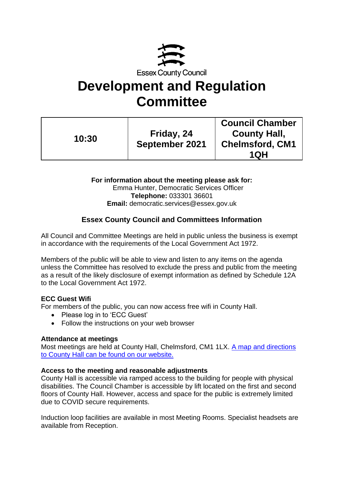

# **Development and Regulation Committee**

| 10:30 |                       | <b>Council Chamber</b> |
|-------|-----------------------|------------------------|
|       | Friday, 24            | <b>County Hall,</b>    |
|       | <b>September 2021</b> | <b>Chelmsford, CM1</b> |
|       |                       | 1QH                    |

**For information about the meeting please ask for:** Emma Hunter, Democratic Services Officer **Telephone:** 033301 36601 **Email:** democratic.services@essex.gov.uk

# **Essex County Council and Committees Information**

All Council and Committee Meetings are held in public unless the business is exempt in accordance with the requirements of the Local Government Act 1972.

Members of the public will be able to view and listen to any items on the agenda unless the Committee has resolved to exclude the press and public from the meeting as a result of the likely disclosure of exempt information as defined by Schedule 12A to the Local Government Act 1972.

### **ECC Guest Wifi**

For members of the public, you can now access free wifi in County Hall.

- Please log in to 'ECC Guest'
- Follow the instructions on your web browser

### **Attendance at meetings**

Most meetings are held at County Hall, Chelmsford, CM1 1LX. [A map and directions](https://www.essex.gov.uk/visit-us) [to County Hall can be found on our website.](https://www.essex.gov.uk/visit-us)

### **Access to the meeting and reasonable adjustments**

County Hall is accessible via ramped access to the building for people with physical disabilities. The Council Chamber is accessible by lift located on the first and second floors of County Hall. However, access and space for the public is extremely limited due to COVID secure requirements.

Induction loop facilities are available in most Meeting Rooms. Specialist headsets are available from Reception.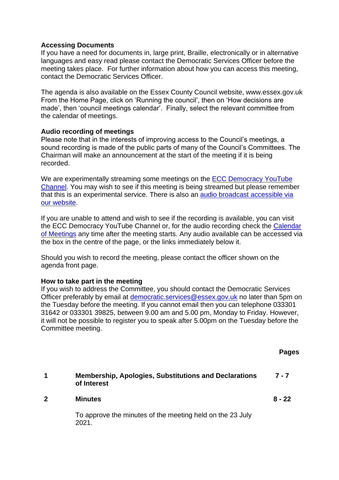### **Accessing Documents**

If you have a need for documents in, large print, Braille, electronically or in alternative languages and easy read please contact the Democratic Services Officer before the meeting takes place. For further information about how you can access this meeting, contact the Democratic Services Officer.

The agenda is also available on the Essex County Council website, www.essex.gov.uk From the Home Page, click on 'Running the council', then on 'How decisions are made', then 'council meetings calendar'. Finally, select the relevant committee from the calendar of meetings.

### **Audio recording of meetings**

Please note that in the interests of improving access to the Council's meetings, a sound recording is made of the public parts of many of the Council's Committees. The Chairman will make an announcement at the start of the meeting if it is being recorded.

We are experimentally streaming some meetings on the ECC Democracy YouTube [Channel.](https://eur02.safelinks.protection.outlook.com/?url=https%3A%2F%2Fwww.youtube.com%2Fchannel%2FUCOOP9vKq82ogpyG1gtCnyHQ&data=04%7C01%7C%7Cafdf498032bb42bc576a08d91924b56e%7Ca8b4324f155c4215a0f17ed8cc9a992f%7C0%7C0%7C637568467711384149%7CUnknown%7CTWFpbGZsb3d8eyJWIjoiMC4wLjAwMDAiLCJQIjoiV2luMzIiLCJBTiI6Ik1haWwiLCJXVCI6Mn0%3D%7C1000&sdata=FgEVbcbF%2B%2BFaK4TM2n9gtpI%2FxpckuP2MVd7WhX7bG6A%3D&reserved=0) You may wish to see if this meeting is being streamed but please remember that this is an experimental service. There is also an [audio broadcast accessible via](https://cmis.essex.gov.uk/essexcmis5/CalendarofMeetings.aspx)  [our website.](https://cmis.essex.gov.uk/essexcmis5/CalendarofMeetings.aspx)

If you are unable to attend and wish to see if the recording is available, you can visit the ECC Democracy YouTube Channel or, for the audio recording check the [Calendar](https://cmis.essex.gov.uk/essexcmis5/CalendarofMeetings.aspx)  [of Meetings](https://cmis.essex.gov.uk/essexcmis5/CalendarofMeetings.aspx) any time after the meeting starts. Any audio available can be accessed via the box in the centre of the page, or the links immediately below it.

Should you wish to record the meeting, please contact the officer shown on the agenda front page.

### **How to take part in the meeting**

If you wish to address the Committee, you should contact the Democratic Services Officer preferably by email at [democratic.services@essex.gov.uk](mailto:democratic.services@essex.gov.uk) no later than 5pm on the Tuesday before the meeting. If you cannot email then you can telephone 033301 31642 or 033301 39825, between 9.00 am and 5.00 pm, Monday to Friday. However, it will not be possible to register you to speak after 5.00pm on the Tuesday before the Committee meeting.

**Pages**

| <b>Membership, Apologies, Substitutions and Declarations</b> | $7 - 7$ |
|--------------------------------------------------------------|---------|
| of Interest                                                  |         |

**2 Minutes**

**8 - 22**

To approve the minutes of the meeting held on the 23 July 2021.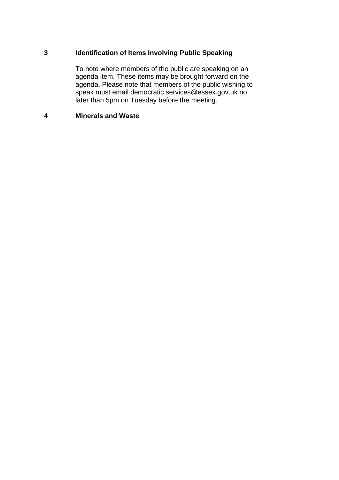### **3 Identification of Items Involving Public Speaking**

To note where members of the public are speaking on an agenda item. These items may be brought forward on the agenda. Please note that members of the public wishing to speak must email democratic.services@essex.gov.uk no later than 5pm on Tuesday before the meeting.

### **4 Minerals and Waste**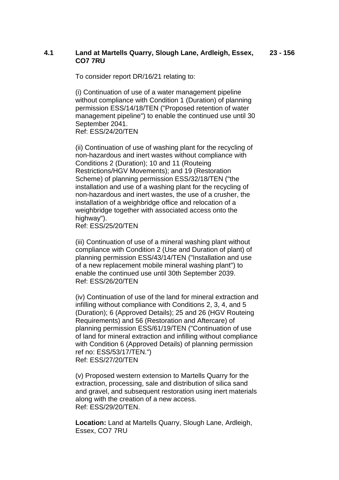### **4.1 Land at Martells Quarry, Slough Lane, Ardleigh, Essex, CO7 7RU 23 - 156**

To consider report DR/16/21 relating to:

(i) Continuation of use of a water management pipeline without compliance with Condition 1 (Duration) of planning permission ESS/14/18/TEN ("Proposed retention of water management pipeline") to enable the continued use until 30 September 2041. Ref: ESS/24/20/TEN

(ii) Continuation of use of washing plant for the recycling of non-hazardous and inert wastes without compliance with Conditions 2 (Duration); 10 and 11 (Routeing Restrictions/HGV Movements); and 19 (Restoration Scheme) of planning permission ESS/32/18/TEN ("the installation and use of a washing plant for the recycling of non-hazardous and inert wastes, the use of a crusher, the installation of a weighbridge office and relocation of a weighbridge together with associated access onto the highway").

Ref: ESS/25/20/TEN

(iii) Continuation of use of a mineral washing plant without compliance with Condition 2 (Use and Duration of plant) of planning permission ESS/43/14/TEN ("Installation and use of a new replacement mobile mineral washing plant") to enable the continued use until 30th September 2039. Ref: ESS/26/20/TEN

(iv) Continuation of use of the land for mineral extraction and infilling without compliance with Conditions 2, 3, 4, and 5 (Duration); 6 (Approved Details); 25 and 26 (HGV Routeing Requirements) and 56 (Restoration and Aftercare) of planning permission ESS/61/19/TEN ("Continuation of use of land for mineral extraction and infilling without compliance with Condition 6 (Approved Details) of planning permission ref no: ESS/53/17/TEN.") Ref: ESS/27/20/TEN

(v) Proposed western extension to Martells Quarry for the extraction, processing, sale and distribution of silica sand and gravel, and subsequent restoration using inert materials along with the creation of a new access. Ref: ESS/29/20/TEN.

**Location:** Land at Martells Quarry, Slough Lane, Ardleigh, Essex, CO7 7RU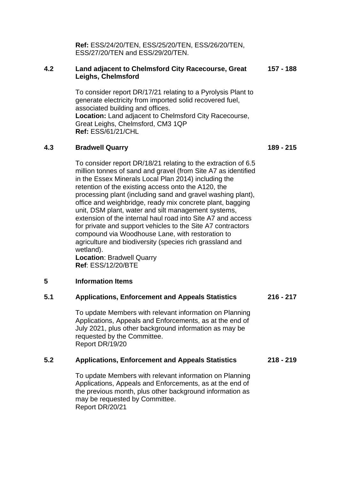**Ref:** ESS/24/20/TEN, ESS/25/20/TEN, ESS/26/20/TEN, ESS/27/20/TEN and ESS/29/20/TEN.

### **4.2 Land adjacent to Chelmsford City Racecourse, Great Leighs, Chelmsford 157 - 188**

To consider report DR/17/21 relating to a Pyrolysis Plant to generate electricity from imported solid recovered fuel, associated building and offices. **Location:** Land adjacent to Chelmsford City Racecourse, Great Leighs, Chelmsford, CM3 1QP **Ref:** ESS/61/21/CHL

### **4.3 Bradwell Quarry**

To consider report DR/18/21 relating to the extraction of 6.5 million tonnes of sand and gravel (from Site A7 as identified in the Essex Minerals Local Plan 2014) including the retention of the existing access onto the A120, the processing plant (including sand and gravel washing plant), office and weighbridge, ready mix concrete plant, bagging unit, DSM plant, water and silt management systems, extension of the internal haul road into Site A7 and access for private and support vehicles to the Site A7 contractors compound via Woodhouse Lane, with restoration to agriculture and biodiversity (species rich grassland and wetland).

**Location**: Bradwell Quarry **Ref**: ESS/12/20/BTE

### **5 Information Items**

#### **5.1 Applications, Enforcement and Appeals Statistics 216 - 217**

To update Members with relevant information on Planning Applications, Appeals and Enforcements, as at the end of July 2021, plus other background information as may be requested by the Committee. Report DR/19/20

#### **5.2 Applications, Enforcement and Appeals Statistics 218 - 219**

To update Members with relevant information on Planning Applications, Appeals and Enforcements, as at the end of the previous month, plus other background information as may be requested by Committee. Report DR/20/21

**189 - 215**